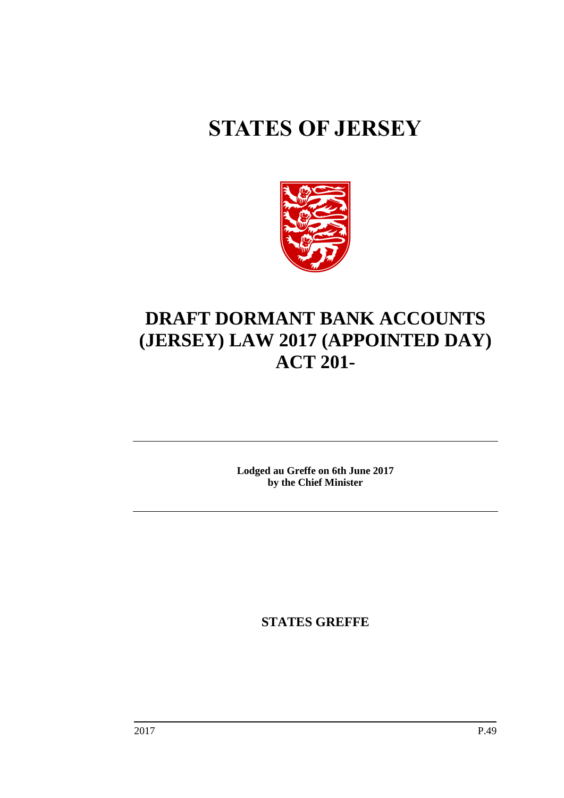# **STATES OF JERSEY**



## **DRAFT DORMANT BANK ACCOUNTS (JERSEY) LAW 2017 (APPOINTED DAY) ACT 201-**

**Lodged au Greffe on 6th June 2017 by the Chief Minister**

**STATES GREFFE**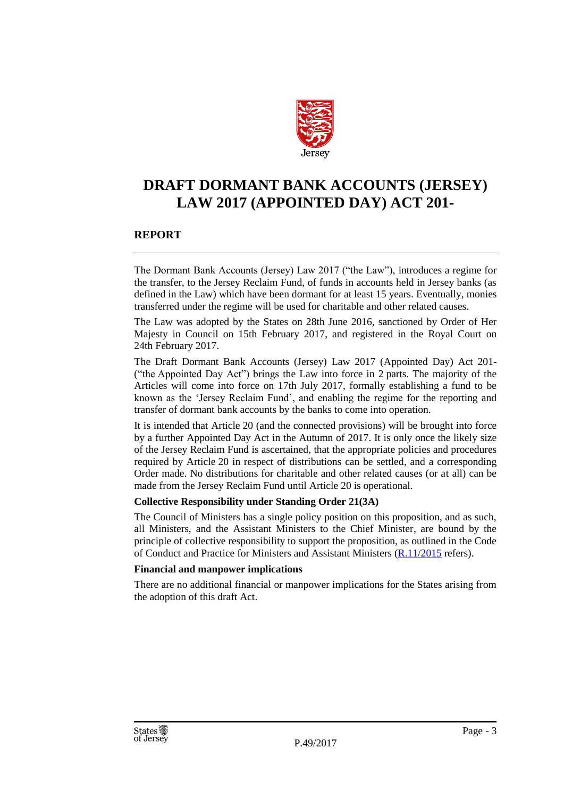

### **DRAFT DORMANT BANK ACCOUNTS (JERSEY) LAW 2017 (APPOINTED DAY) ACT 201-**

#### **REPORT**

The Dormant Bank Accounts (Jersey) Law 2017 ("the Law"), introduces a regime for the transfer, to the Jersey Reclaim Fund, of funds in accounts held in Jersey banks (as defined in the Law) which have been dormant for at least 15 years. Eventually, monies transferred under the regime will be used for charitable and other related causes.

The Law was adopted by the States on 28th June 2016, sanctioned by Order of Her Majesty in Council on 15th February 2017, and registered in the Royal Court on 24th February 2017.

The Draft Dormant Bank Accounts (Jersey) Law 2017 (Appointed Day) Act 201- ("the Appointed Day Act") brings the Law into force in 2 parts. The majority of the Articles will come into force on 17th July 2017, formally establishing a fund to be known as the 'Jersey Reclaim Fund', and enabling the regime for the reporting and transfer of dormant bank accounts by the banks to come into operation.

It is intended that Article 20 (and the connected provisions) will be brought into force by a further Appointed Day Act in the Autumn of 2017. It is only once the likely size of the Jersey Reclaim Fund is ascertained, that the appropriate policies and procedures required by Article 20 in respect of distributions can be settled, and a corresponding Order made. No distributions for charitable and other related causes (or at all) can be made from the Jersey Reclaim Fund until Article 20 is operational.

#### **Collective Responsibility under Standing Order 21(3A)**

The Council of Ministers has a single policy position on this proposition, and as such, all Ministers, and the Assistant Ministers to the Chief Minister, are bound by the principle of collective responsibility to support the proposition, as outlined in the Code of Conduct and Practice for Ministers and Assistant Ministers [\(R.11/2015](http://www.statesassembly.gov.je/AssemblyReports/2015/R.11-2015.pdf) refers).

#### **Financial and manpower implications**

There are no additional financial or manpower implications for the States arising from the adoption of this draft Act.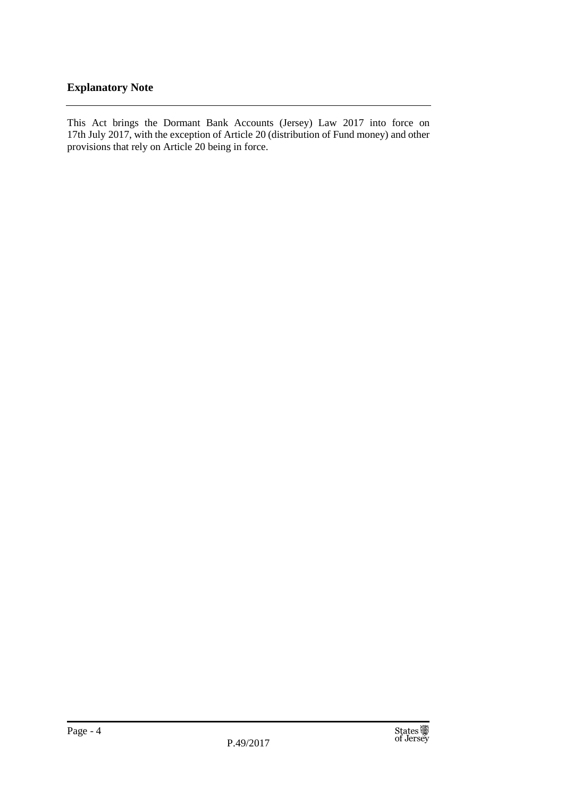#### **Explanatory Note**

This Act brings the Dormant Bank Accounts (Jersey) Law 2017 into force on 17th July 2017, with the exception of Article 20 (distribution of Fund money) and other provisions that rely on Article 20 being in force.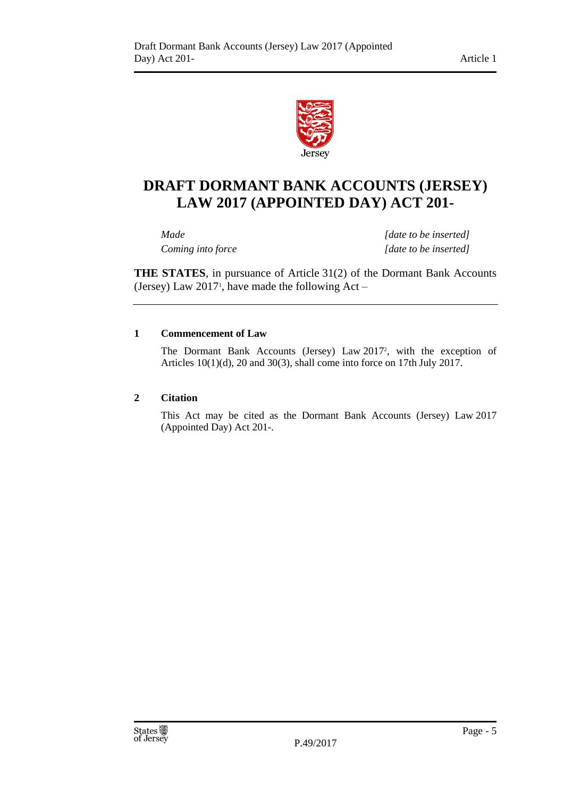

## **DRAFT DORMANT BANK ACCOUNTS (JERSEY) LAW 2017 (APPOINTED DAY) ACT 201-**

*Made [date to be inserted] Coming into force [date to be inserted]*

**THE STATES**, in pursuance of Article 31(2) of the Dormant Bank Accounts (Jersey) Law  $2017$ <sup>1</sup>, have made the following Act  $-$ 

#### **1 Commencement of Law**

The Dormant Bank Accounts (Jersey) Law 2017<sup>2</sup> , with the exception of Articles 10(1)(d), 20 and 30(3), shall come into force on 17th July 2017.

#### **2 Citation**

This Act may be cited as the Dormant Bank Accounts (Jersey) Law 2017 (Appointed Day) Act 201-.